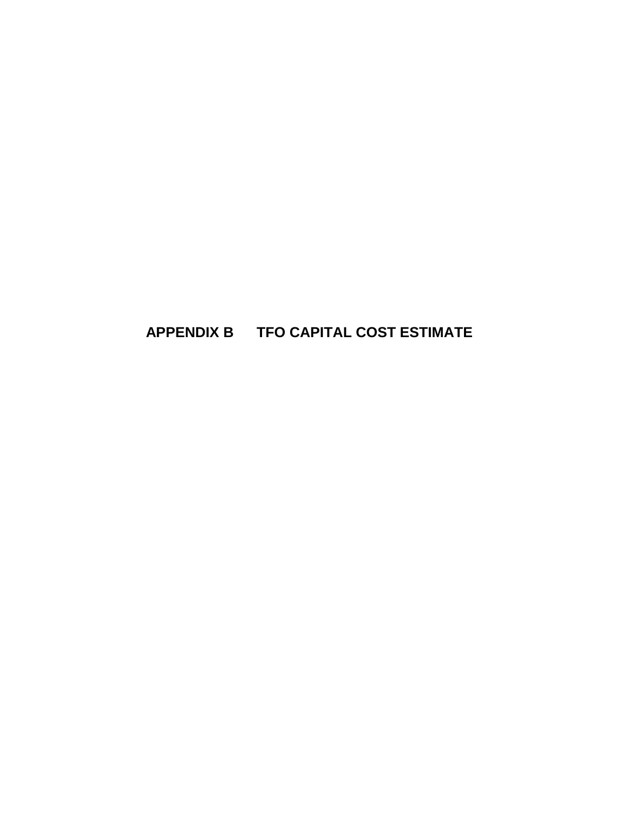## **APPENDIX B TFO CAPITAL COST ESTIMATE**